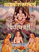# THE PARTIES

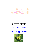

# ई साहित्य प्रहिष्ठान

### [www.esahity.com](http://www.esahity.com/)

## [esahity@gmail.com](mailto:esahity@gmail.com)

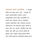चर्पटपंजरी अर्थात भजगोविंदम : हे संस्कृत मधील एक महान काव्य आहे. जगद्गुरू श्री आदय शंकर्ताचार्यांनी रचलेले हे काव्य संस्कृतमधील अत्यंत सुंदर काव्यांपैकी एक मानले जाते. वेदांताचा अर्क या छोट्याशा भजनात सामावलेला आहे. मानवाला आपल्या अस्तित्त्वाचा अर्थ शोधायला प्रवृत्त करणारे हे काव्य आहे. धन, संपत्ती, सांसारिक मोह यांचा नेमका अर्थ आणि सत्य यांच्या शोधाची ही सुरुवात आहे. यादवारे जागृत झालेला शिष्य ज्ञान आणि इश्वराच्या शोधासाठी मार्गस्थ होतो.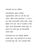#### चर्पटपंजरी ऊर्फ भज गोविंदम

चर्पटपंजरीमध्ये दवादश मंजरिका, चतुर्दशमंजरिका आणि सार असे तीन भाग पडतात. पहिला श्लोक झाल्यानंतर २ ते तेरा हे बारा श्लोक शंकराचार्यांनी रचलेले आहेत. त्यातून भूमिका स्पष्ट होते. चौदा ते सत्तावीस हे चौधा श्लोक त्यांच्या विदयार्थ्यांनी रचलेले आहेत. तर शेवटचे पाच श्लोक पुन्हा श्री शंकराचार्यांनी रचलेले आहेत.

शंकराचार्यांचे इतर ग्रंथ मनोहारी सौंदर्याने नटलेले आहेत. र्रंतूचर्टप र्ंजरी ही एक सरळ तत्त्वज्ञानी कृती आहे. त्यात आडवळणे किंवा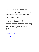गोडवा नाही तर एखादया सर्जनने कात्री चालवावी तशी मांडणी आहे. त्यामुळे ऐकायला गोड थटणथरे हे श्लोक अत्यंत स्र्ष्ट अशी तर्कद्दष्ट विधाने करतात.

हे पुस्तक प्रताधिकारमुक्त आहे. आपण ते विनामूल्य कोणालाही देऊ शकता. आम्ही दरमहा अशी आठ ते बारा पुस्तके प्रकाशित करतो. संपर्कात रहा.

[www.esahity.com](http://www.esahity.com/)

[esahity@gmail.com](mailto:esahity@gmail.com)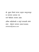श्री. सुहास लिमये यांच्या उत्कृष्ट वक्तृत्त्वातून या काव्याचा आस्वाद घ्या. याचे व्हिडिओ उपलब्ध आहेत. अधिक माहितीसाठी व संपूर्ण संचासाठी संपर्क साधा : श्रीकृष्ण भागवत (9892794688) shrikrish@yahoo.com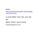#### $i$ धन्यवाद $\,$  :

[http://sanskritdocuments.org/doc\\_vishhnu/bhajago](http://sanskritdocuments.org/doc_vishhnu/bhajagovindam.html?lang=sa) [vindam.html?lang=sa](http://sanskritdocuments.org/doc_vishhnu/bhajagovindam.html?lang=sa)

या काव्याचे व्हिडिओ उपलब्ध आहेत. कृपया संपर्क साधा $\cdot$ 

श्रीकृष्ण भागवत (9892794688) shrikrish@yahoo.com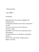.. Bhaja Govindam ..

॥ भज गोविन्दं ॥

Introduction

Bhaja Govindam was written by Jagadguru Adi Shankaracharya.

A biography of Shankara and his other compositions of Vedic

literature can be found in the shankara.itx

document. Bhaja

govindaM is one of the minor compositions of the spiritual giant,

Adi Shankaracharya. It is classified as a prakaraNa grantha, a

primer to the major works. Though sung as a bhajan, it contains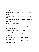the essence of Vedanta and implores the man to think, Why am I

here in this life ? Why am I amassing wealth, family, but have

no peace ? What is the Truth ? What is the purpose of life ?

The person thus awakened gets set on a path to the inner road

back to the God principle.

The background of Bhaja GovindaM is worth examining. During his stay in Kashi, Adi Shankaracharya noticed a very old man studying the rules of Sanskrit by Panini. Shankara was touched with pity at seeing the plight of the old man spending his years at a mere intellectual accomplishment while he would be better off praying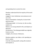and spending time to control his mind.

Shankara understood that the majority of the world was also

engaged in mere intellectual, sense pleasures and not in the

divine contemplation. Seeing this, he burst forth with the verses

of Bhaja govindaM. In 31 verses, he, like no other, explains our

fallacies, our wrong outlook for life, and dispels our ignorance

and delusions. Thus bhaja govindaM was originally known as moha

mudgAra, the remover of delusions.

Shankara explains, nay chides, us for spending our time in useless trivia like amassing wealth, lusting after (wo)men and requests us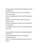to discriminate and cultivate the knowledge to learn the difference

between the real and the unreal. To emphasise

that, he concludes

that all knowledge other than the Self-Knowledge is useless,

Shankara makes the person realize how foolish he/she is in the

conduct and behaviour by these verses, and shows the purpose of

our worldly existence, which is to seek Govinda and attain Him.

Bhaja govindaM is divided into dvAdashamanjarikA stotram and chaturdashamanjarika stotram. At the end of composing the first stanza, it is said that Shankara burst forth with the next 12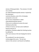stanzas of bhaja govindam. Thus stanzas 2-13 with 1st as refrain are called dvAdashmanjarika stotram. Inspired by the extempore recital by Shankara, each of his 14 disciples composed a verse and the 14 verse compendium is called chaturdashamanjarika stotram. (There are no evidences to prove the exact individual authorship of these 14 verses, we have some traditional hearsay eviences as attribution.) Shankara added the finishing touches by adding five of his own stanzas at the last bringing the total to 31. The combined 31 are also termed as mohamudgaraH by some. The last two

verses in this version is not found in all editions.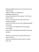Bhaja govindaM has been set to musical tones and sung as prayer

songs by children. It is divided into

dvAdashamanjarikA and

charpaTamanjarikA for this purpose. The former is a set of verses

(verses 2-13) while the rest of the verses form charpaTamanjarikA.

Anyone who listens to the music of Bhaja govindaM is attracted

to it. However, the significance of the text goes much deeper

and contains a well defined philosophy of attaining salvation.

Shankara's words seem to be quite piercing and seem to lack the softness and tenderness often found in his other texts, thus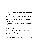addressing directly. The reason is that this was an extempore

recital to an old man. His words can be compared to a knife of a

surgeon. The surgeon's knife cruelly removes the tumour with much

pain, but removing the tumour ultimately restores good health in

the patient. So are Shankara's words, which pierce and point out

our ignorance. It is a knife into the heart of

worldliness, and

by removing this tumour of ignorance, we can

attain everlasting

bliss with the grace of Govinda.

May the AchAryA guide us from ignorance to truth.

OM tat sat.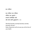भज गोविन्दं

भज गोविन्दं भज गोविन्दं गोविन्दं भज मूढमते । सम्प्राप्ते सन्निहिते काले नहह नहह रक्षतत डुकृङ्करणे ॥ १॥

Worship Govinda, worship Govinda, worship Govinda, Oh fool ! Rules of grammar will not save you at the time of your death.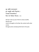मूढ जहीहि धनागमतृष्णां कुरु सद्बुद्धिं मनसि वितृष्णाम् । यल्लभसे तनजकमोर्थत्तं वित्तं तेन विनोदय चित्तम ॥ २॥

Oh fool ! Give up your thirst to amass wealth,

devote your

mind to thoughts to the Real. Be content with what comes

through actions already performed in the past.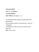```
नारीस्तनभरनाभीदेशं
दृष्ट्वा मा गा मोहावेशम् ।
एतन्मांसवसादिविकारं
मनसि विचिन्तय वारं वारम ॥ ३॥
```
Do not get drowned in delusion by going wild with passions and lust by seeing a woman's navel and chest. These are nothing but a modification of flesh. Fail not to remember this again and again in your mind.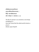नशलनीदलगतजलमतततरलं तद् वज्जीवितमतिशयचपलम् । विद्धि व्याध्यभिमानग्रस्तं लोकं शोकहतं च समस्तम ्॥ ४॥

The life of a person is as uncertain as rain drops trembling on a lotus leaf. Know that the whole world remains a prey to disease, ego and grief.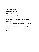```
यावद्वित्तोपार्जनसक्त-
स्तावन्निजपरिवारो रक्तः ।
पश्चाज्जीवति जर्जरदेहे
वार्ता कोऽपि न पृच्छति गेहे ॥ ५॥
```
So long as a man is fit and able to support his family, see what affection all those around him show. But no one at home cares to even have a word with him when his body totters due to old age.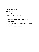यावत्पवनो निवसति देहे तावत्पृच्छति कुशलं गेहे । गतवति वायौ देहापाये भार्या बिभ्यति तस्मिन्काये ॥ ६॥

When one is alive, his family members enquire kindly about his welfare. But when the soul departs from the body, even his wife runs away in fear of the corpse.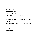बालस्तावत्क्रीडासक्तः

तरुणस्तावत्तरुणीसक्तः ।

वृद्धस्तावच्चिन्तासक्तः

र्रमे ब्रह्मणण कोऽवर् न सक्तः ॥ ७॥ var र्रे

The childhood is lost by attachment to playfulness.

Youth is

lost by attachment to woman. Old age passes away by thinking over

many things. But there is hardly anyone who wants to be lost in

parabrahman.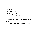```
का ते कान्ता कस्ते पुत्रः
संसारोऽयमतीव विचित्रः ।
कस्य त्वं कः कुत आयात-
स्तत्त्वं चिन्तय तदिह भ्रातः ॥ ८॥
```
Who is your wife ? Who is your son ? Strange is this samsAra,

the world. Of whom are you ? From where have you come ?

Brother, ponder over these truths.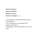```
सत्सङ्गत्वे निस्सङ्गत्वं
निस्सङ्गत्वे निर्मोहत्वम् ।
निर्मोहत्वे निश्चलतत्त्वं
तनश्चलतत्त् े जी न्मुस्क्तः ॥ ९॥
```
From satsanga, company of good people, comes non-attachment, from non-attachment comes freedom from delusion, which leads to self-settledness. From self-settledness comes JIvan muktI.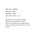```
वयसि गते कः कामविकारः
शुष्के नीरे कः कासारः ।
क्षीणे वित्ते कः परिवारः
ज्ञाते तत्त्वे कः संसारः ॥ १०॥
```
What good is lust when youth has fled ? What use is a lake which has no water ? Where are the relatives when wealth is gone ? Where is samsAra, the world, when the Truth is known ?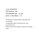```
मा कुरु धनजनयौवनगर्व
हरति निमेषात्कालः सर्वम् ।
मायामयमिदमखिलं हित्वा var बुध्वा
ब्रहमपदं त्वं प्रविश विदित्वा ॥ ११॥
```
Do not boast of wealth, friends, and youth. Each one of these are destroyed within a minute by time. Free yourself from the illusion of the world of Maya and attain the timeless Truth.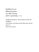```
दिनयामिन्यौ सायं प्रातः
शिशिरवसन्तौ पुनरायातः ।
कालः क्रीडति गच्छत्याय्-
स्तदपि न मुञ्चत्याशावायुः ॥ १२॥
```
Daylight and darkness, dusk and dawn, winter and springtime come and go. Time plays and life ebbs away. But the storm of desire never leaves.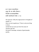का ते कान्ता धनगतचिन्ता वातुल किं तव नास्ति नियन्ता । त्रिजगति सज्जनसङ्गतिरैका भवति भवार्णवतरणे नौका ॥ १३॥

Oh mad man ! Why this engrossment in thoughts of wealth ? Is there no one to guide you ? There is only one thing in three worlds that can save you from the ocean of samsAra, get into the boat of satsanga, company of good people, quickly.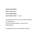```
दवादशमञ्जरिकाभिरशेषः
कथितो वैयाकरणस्यैषः ।
उपदेशो भूद्विद्यानिप्णैः
श्रीमच्छन्करभगवच्छरणैः ॥ १३अ ॥
```
This bouquet of twelve verses (2-13) was imparted to a grammarian by the all-knowing Shankara, adored as the bhagavadpada.

The following 14 form chaturdashama~njarikA.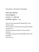Stanza below is attributed to padmapAda.

```
जहटलो मुण्डी लुस्ञ्छतकेशः
काषायाम्बरबहुकृतवेषः ।
पश्यन्नपि च न पश्यति मूढो
ह्युदरतनशमत्तं बहुकृत ेषः ॥ १४॥
```
There are many who go with matted locks, many who have clean

shaven heads, many whose hairs have been plucked out; some are

clothed in orange, yet others in various colours ---

all just for

a livelihood. Seeing truth revealed before them, still the foolish

ones see it not.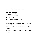Stanza attributed to to TakAchArya.

```
अङ्गं गशलतं र्शलतं मुण्डं
दशनविहीनं जातं तुण्डम् ।
वृद्धो याति गृहीत्वा दण्डं
तदपि न म्ञञ्चत्याशापिण्डम् ॥ १५॥
```
Strength has left the old man's body; his head has become bald,

his gums toothless and leaning on crutches. Even then the

attachment is strong and he clings firmly to fruitless desires.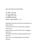Stanza attributed to hastAmalaka.

```
अग्रे वहिनः पृष्ठे भान्ः
रात्रौ चुबुकसमर्पितजानुः ।
करतलभिक्षस्तरुतलवास-
स्तदपि न मुञ्चत्याशापाशः ॥ १६॥
```
Behold there lies the man who sits warming up his body with the

fire in front and the sun at the back; at night he curls up the

body to keep out of the cold; he eats his beggar's food from

the bowl of his hand and sleeps beneath the tree.

Still in his

heart, he is a wretched puppet at the hands of passions.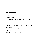Stanza attributed to Subodha.

कुरुते गङ्गासागरगमनं व्रतपरिपालनमथवा दानम् । ज्ञानविहीनः सर्वमतेन मुस्क्तं न भजतत जन्मशतेन ॥ १७॥ var भजतत न मुस्क्तं

One may go to Gangasagar, observe fasts, and give away riches in charity ! Yet, devoid of jnana, nothing can give mukti even at the end of a hundred births.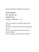Stanza attributed to vArttikakAra (sureshvara).

```
सुरमंदिरतरुमूलनिवासः
शय्या भूतलमजिनं वासः ।
सर्वपरिग्रहभोगत्यागः
कस्यसुखं न करोति विरागः ॥ १८॥
```
Take your residence in a temple or below a tree, wear the deerskin for the dress, and sleep with mother earth as your bed. Give up all attachments and renounce all comforts. Blessed with such vairgya, could any fail to be content?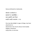Stanza attributed to nityAnanda.

योगरतो वा भोगरतो वा सङगरतो वा सङगविहीनः । यस्य ब्रह्मणि रमते चित्तं नन्दति नन्दति नन्दत्येव ॥ १९॥

One may take delight in yoga or bhoga, may have attachment or detachment. But only he whose mind steadily delights in Brahman enjoys bliss, no one else.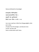Stanza attributed to Anandagiri.

```
भगवदगीता किञ्चिदधीता
गङ्गाजललवकणिका पीता ।
सकृदपि येन मुरारिसमर्चा
क्रियते तस्य यमेन न चर्चा ॥ २०॥
```
Let a man read but a little from bhagavadgItA, drink just a drop of water from the Ganges, worship but once murAri. He then will have no altercation with Yama.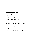Stanza attributed to dRiDhabhakti.

```
पुनरपि जननं पुनरपि मरणं
पुनरपि जननीजठरे शयनम् ।
इह संसारे बहुदुस्तारे
कृर्यथऽर्थरे र्थहह मुरथरे ॥ २१॥
```
Born again, death again, again to stay in the mother's womb ! It is indeed hard to cross this boundless ocean of samsAra. Oh Murari ! Redeem me through Thy mercy.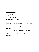Stanza attributed to nityanAtha.

```
रथ्याचर्पटविरचितकन्थः
पुण्यापुण्यविवर्जितपन्थः ।
योगी योगतनयोस्जतधचत्तो
रमते बालोन्मत्तवदेव ॥ २२॥
```
There is no shortage of clothing for a monk so long as there are

rags cast off the road. Freed from vices and virtues, onward he

wanders. One who lives in communion with god enjoys bliss, pure

and uncontaminated, like a child and as an intoxicated.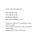Stanza attributed to yogAnanda.

कस्त्वं कोऽहं कुत आयातः का मे जननी को मे तातः । इति परिभावय सर्वमसारम् विश्वं त्यक्त्वा स्वप्नविचारम् ॥ २३॥

Who are you ? Who am I ? From where do I come ? Who is my mother, who is my father ? Ponder thus, look at everything as essence-less and give up the world as an idle dream.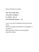Stanza attributed to surendra.

```
त्वयि मयि चान्यत्रैको विष्णु-
र्व्यर्थं कुप्यसि मय्यसहिष्णुः ।
भव समचित्तः सर्वत्र त्वं
वाञ्छस्यचिराद्यदि विष्णुत्वम् ॥ २४॥
```
In me, in you and in everything, none but the same Vishnu dwells. Your anger and impatience is meaningless. If you wish to attain the status of Vishnu, have samabhAva, equanimity, always.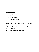Stanza attributed to medhAtithira.

```
शत्रौ शमत्रे र्ुत्रे बन्धौ
मा कुरु यत्नं विग्रहसन्धौ ।
सर्वस्मिन्नपि पश्यात्मानं
सर्वत्रोत्सृज भेदाज्ञानम् ॥ २५॥
```
Waste not your efforts to win the love of or to fight against friend and foe, children and relatives. See yourself in everyone and give up all feelings of duality completely.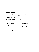Stanza attributed to bhArativamsha.

कामं क्रोधं लोभं मोहं त्यक्त्वाssत्मानं भावय कोsहम् । var पश्यति सोsहम् आत्मज्ञान विहीना मूढा-स्ते पच्यन्ते नरकनिगूढाः ॥ २६॥

Give up lust, anger, infatuation, and greed. Ponder over your real nature. Fools are they who are blind to the Self. Cast into hell, they suffer there endlessly.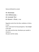Stanza attributed to sumati.

गेयं गीतानामसहस्रं ध्येयं श्रीपतिरूपमजस्रम् । नेयं सज्जनसङ्गे धचत्तं

देयं दीनजनथय च व त्तम ्॥ २७॥

Regularly recite from the Gita, meditate on Vishnu in your

heart, and chant His thousand glories. Take delight to be with

the noble and the holy. Distribute your wealth in charity to

the poor and the needy.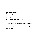Stanza attributed to sumati.

```
सुखतः क्रियते रामाभोगः
र्श्चथधन्त शरीरे रोगः ।
यदयपि लोके मरणं शरणं
तदपि न मुञ्चति पापाचरणम् ॥ २८॥
```
He who yields to lust for pleasure leaves his body a prey to

disease. Though death brings an end to everything, man does not

give-up the sinful path.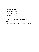अर्थमनर्थं भावय नित्यं नास्तिततः सुखलेशः सत्यम् । प्**त्रादपि धनभाजां भीतिः** सर्वत्रैषा विहिता रीतिः ॥ २९॥

Wealth is not welfare, truly there is no joy in it.

Reflect

thus at all times. A rich man fears even his own son.

This is

the way of wealth everywhere.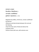```
प्राणायामं प्रत्याहारं
नित्यानित्य विवेकविचारम् ।
जाप्यसमेत समाधिविधानं
कुर्ववधानं महदवधानम् ॥ ३०॥
```
Regulate the prANa-s, life forces, remain unaffected by external

influences and discriminate between the real and the fleeting.

Chant the holy name of God and silence the turbulent mind.

Perform these with care, with extreme care.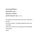गुरुचरणाम्बुजनिर्भरभक्तः संसारादचिराद्भव मुक्तः । सेन्दियमानस नियमादेवं द्रक्ष्यसि निजहृदयस्थं देवम् ॥ ३१॥

Oh devotee of the lotus feet of the Guru ! May thou be soon free from Samsara. Through disciplined senses and controlled mind, thou shalt come to experience the indwelling Lord of your heart !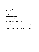The following two are not found in standard text of Bhajagovindam.

मूढः कश्चन वैयाकरणो इकृङ्करणाध्ययन धुरीणः । श्रीमच्छङ्कर भगवच्छिष्यै बोधधत आशसच्छोधधतकरणः ॥ ३२॥

Thus a silly grammarian lost in rules cleansed of his narrow

vision and shown the Light by Shankara's apostles.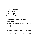```
भज गोविन्दं भज गोविन्दं
गोविन्दं भज मूढमते ।
नामस्मरणादन्यमुपायं
नहि पश्यामो भवतरणे ॥ ३३॥
```
Worship Govinda, worship Govinda, worship Govinda, Oh fool ! Other than chanting the Lord's names, there is no other way to cross the life's ocean.

(The last line appears to be shorter as the normal metrical

composition. No attempt is made to improve it.)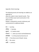Appendix: Word meanings

The following words and meanings are added as an appendix to

allow the reader to learn Sanskrit words. They may not follow exact word construction in the above verses.

Reader is requested to consult a dictionary and commentaries for additional details.

भज = worship;

गोव न्दं = Govinda;

मूढमते = O, foolish mind!;

सम्प्राप्ते = ( when you have) reached/obtained;

सस्न्नहहते = (in the) presence/nearness of;

काले = Time (here:Lord of Death, Yama);

नहह = No; never;

रक्षतत = protects;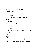डुकृङ्करणे = the grammatical formula DukRi.nkaraNe;

 $\parallel$  ?  $\parallel$ 

मूढ = Oh fool!;

जहीहह = jahi+iha, leave/give up+here(in this

world);

धन = wealth;

अगम = coming/arrival;

तृष्णां = thirst/desire;

कुरु = Do;act;

सद्बुवधं = sat+buddhiM, good+awareness(loosely speaking:mind);

मनसि = in the mind;

वितृष्णां = desirelessness;

यल्लभसे = yat+labhase, whatever+(you)obtain;

तनजकमप = nija+karma, one's+duty(normal work);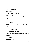उपात्त =  $obtained$ ;

 $\overline{a}$  $\overline{c}$  $\overline{d}$  = wealth;

तेन = by that; with that;

विनोदय = divert/recreate(be happy);

चित्तं = mind;

॥ २॥

नारी = woman;

स्तनभर = breasts that are(full-with milk);

नथभीदेशं = nAbhI+deshaM, navel+region/country;

 $\overline{\epsilon}$   $\overline{\epsilon}$  areas  $\epsilon$  = having seen;

मागा =  $mA+gA$ , Don't+go;

मोहावेशं = infatuated state(moha+AveshaM-

seizure);

एतन् = this;

 $\overline{n}$   $\overline{n}$  = flesh+etc;

विकारं = appearance (generally, grotesque/ugly);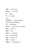मनसि = in the mind; व धचन्तय = think well;  $\overline{q}$  $\overline{q}$  = again;  $\overline{q}$  = and again; ॥ ३॥ नशलनीदलगत = nalinI+dala+gata, lotus+petal+reached/gone; जल = water(drop); अतततरलं = ati+tarala, very+unstable;  $\overline{a}$  and  $\overline{a}$  = like that; जीवित =  $life;$ अततशय = wonderful; चर्लं = fickle-minded; विद्धि = know for sure;  $\overline{c}$ याधि = disease;  $3$ शिमान = self-importance;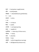ग्रस्तं = having been caught/seized;

- लोकं = world;people;
- शोकहतं = attacked(hata) by grief(shoka);
- $\overline{q}$  = and:
- समस्तं = entire;
- ॥ ४॥
- यावत = so long as;

 $\sqrt{a}$  = wealth:

- उपार्जन = earning/acquiring;
- सक्तः = capable of;
- तावन्निज =  $t$ Avat+nija, till then+one's;
- परिवारः = family;
- रक्तः = attached;
- पश्चात =  $later;$
- जीवति = while living(without earning);
- जर्जर = old/digested (by disease etc);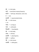देहे = in the body;

- वार्ता = word (here enquiry/inquiry);
- कोऽवर् = kaH+api, whosoever; even one;

$$
\overline{a} = \text{not};
$$

पुच्छति = inquires/asks/minds;

गेहे = in the house;

 $|| 9||$ 

यावत = so long as;

पवनः =  $air/b$ reath;

- निवसति = lives/dwells;
- देहे = in the body;

 $\overline{d}$  and  $\overline{d}$  = till then;

- पुच्छति = asks/inquires;
- कुशलं = welfare;
- गेहे = in the house;
- गतवति = while gone;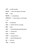थयौ = air(life-breath);

देहापाये = when life departs the body;

 $n = w$ ife:

बिभ्यति = is afraid: fears:

तस्स्मन्कथये = tasmin+kaye, in that body;

॥ ६॥

 $\overline{q}$ बालः = young boy;

तावत = till then (till he is young);

क्रीडा = play;

- सक्तः = attached/engrossed/absorbed;
- तरुणः = young man;

 $\overline{d}$  and  $\overline{d}$  = till then;

- तरुणी = young woman;
- सक्तः = attached/engrossed;
- $\overline{q}$  = old man;
- $\overline{d}$  and  $\overline{d}$  = till then;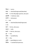चिन्ता = worry;

- सक्तः = attached/engrossed/absorbed;
- र्रमे = in the lofty;high;supreme; also pare
- ब्रह्मणण = Brahman ;God;
- को $s\mathbb{q}$  = whosoever;
- न = not;
- सक्तः = attached/absorbed/engrossed;
- $\parallel$   $\parallel$   $\parallel$
- काते =  $kA+te$ , who+your;
- कान्ता = wife;
- कस्ते = kaH+te, who+your;
- $\overline{q}$ ः = son;
- संसारः = world/family;
- अयं = this;
- $\overline{3}$   $\overline{4}$   $\overline{4}$  = great/big/verv much:
- व धचत्रः = wonderful/mysterious;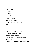कस्य = whose;

$$
\overline{c}\overline{a} = you;
$$

कः = who;

- कुतः = from where;
- आयातः = have come;
- $\overline{q}$  $\overline{q}$  = truth/nature;
- धचन्तय = think well/consider;
- तहदह = tat+iha, that+here;
- $3\pi$ तः = brother:
- $\parallel$   $\angle$

सत्सङगत्वे = in good company;

तनस्सङ्गत् ं = aloneness/non-

attachment/detachment;

तनमोहत् ं = non-infatuated state/clear-

headedness;

तनश्चलतत्त् ं = tranquillity/imperturbability;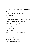जीवन्मुक्तिः = salvation+freedom from bondage of birth;

 यशसगते = vayasi+gate, when age has advanced/gone;

॥ ९॥

कः = who/what use( in the sense of kva?(where));

कामविकारः = sensual/sexual attraction;

शुष्के = in the drying up of;

नीरे = water;

क = what( use) is the;

कासारः = lake;

क्षीणे = spent-up/weakened state of;

 $\theta$  = wealth:

कः = what( use) for;

परिवारः = family(is there?);

ज्ञाते = in the realised state;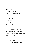$\overrightarrow{\text{area}}$  = truth; कः = what (use) is; संसारः = world/family bond; ॥ १०॥ मा $=$  do not; कुरु = do/act; धन = wealth; जन = people; यौवन =  $\gamma$ outh;

- गर्व = arrogance/haughtiness;
- हरति = takes away/steals away;
- निमेषात  $=$  in the twinkling of the eye;
- कालः = Master Time:
- सर्व = all:
- $H = delusion$ :
- मयं = full of/completely filled;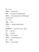इदं = this;

अणखलं = whole/entire;

 $\sqrt{3}$  = having given up/abandoned;

ब्रह्मपदं = the state/position of Brahma/god-

realised state;

 $\overline{c}\overline{d}$  = you:

प्रविश = enter;

विदित्वा = having known/realised;

॥ ११॥

दिनयामिन्यौ = dina+yAminI, day + night;

सायं = evening;

प्रातः = morning;

शशशशर = frosty season;

सन्तौ = (and) Spring season;

र्ुनः = again;

आयातः = have arrived;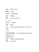कालः = Master Time;

क्रीडति = plays;

गच्छति = goes (away);

आयुः = life/age;

तदवर् = tat+api, then even;

न = not;

मुञ्चतत = releases;

 $3\pi$ शा = desire;

वायुः = air (the wind of desire does not let off its hold);

॥ १२॥

दवादशमञ्जरिकाभिः = by the bouquet consisting of

12 flowers (12;

shlokas above)

अशेष = without remainder/totally;

कथित = was told;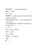ैयथकरणस्यैषः = to the grammarian+this;

उर्देशः = advice;

भूद् = was;

व द्यतनर्ुणै = by the ace scholar Shankara (Plural is used for reverence);

श्रीमच्छन्करभगवत्+चरणैः = by the Shankaracharya who is known;

as shankarabhagavat +charaNAH or pAdAH (plural for reverence)

॥ १२अ ॥

```
काते = kA + te, who+your;
```
कान्ता = wife;

धन = wealth;

गतचिन्ता = thinking of;

 थतुल = ; कि $=$  :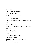$\overline{a} = your;$ 

नास्ति = na+asti, not there;

नियन्ता =  $control$ 

बत्रजगतत = in the three worlds;

सज्जन = good people;

संगततरैकथ = sa.ngatiH+ekA, company+(only) one

(way);

 $\text{H} = \text{becomes};$ 

भवार्णव = bhava+arNava, birth and death+ocean;

तरणे = in crossing;

नौका =  $\frac{1}{2}$  boat/ship;

॥ १३॥

जहटलः = with knotted hair;

मुण्डी = shaven head;

लुस्ञ्छतकेश = hair cut here and there;

काषाय = saffron cloth;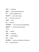अम्प्बर = cloth/sky;

बहुकृत = variously done/made-up;

ेषः = make-ups/garbs/roles;

पश्यन्नपि = even after seeing;

चन =  $cha$ ?)+na, and +not;

पश्यति = sees;

मूढः = the fool;

उदरतनशमत्तं = for the sake of the belly/living;

बह्कृतवेषः = various make-ups/roles;

॥ १४॥

 $3\overline{50}$  = limb(s);

गशलतं = weakened;

र्शलतं = ripened(grey);

मुण्डं = head;

दशनव हीनं = dashana+vihInaM, teeth+bereft;

 $\overline{\text{dr}}$  = having become;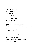तुण्डं = jaws/mouth?;

 $\overline{q}$  $\overline{q}$ : = the old man;

याति =  $goes;$ 

गृहीत्वा = holding the;

दण्डं = stick(walking);

 $\overline{\text{d}}\overline{\text{d}}\overline{\text{d}}$  = then even;

न = not;

मुञ्चतत = lets go/releases/gives up;

आशथवर्ण्डं = AshA+pindaM, desire+lump(piNDaM

also means rice-ball given;

as oblation for the dead)

॥ १५॥

अग्रे = in front of/ahead/beforehand;

वह्निः = fire ( for worship);

पृष्ठेभान्ः = pRiShThe+bhAnuH, behind+sun;

रात्रौ = in the night;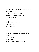चुबुकसमर्पितजान् = face dedicated to(huddled up between) the knees;

करतलभिक्षा = alms in the palms;

तरुतलवासं = living under the trees;

तदपि = then even;

न = not;

मुञ्चतत = releases/lets go;

 $3\overline{1}$  = desire:

पाशं =  $rope/ties$ ;

॥ १६॥

कुरुते = one takes resort to;

गङगासागर = the sea of Ganga (banks of the

Ganges);

गमनं = going;

व्रत = austerities;

परिपालनं = observance/governance;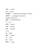$33$ थवा = or/else;

दानं = charity;

ज्ञानविहीनः = (but)bereft of knowledge of the Self;

सर्वमतेन = according to all schools of

thought/unanimously;

मुस्क्तं = salvation/freedom;

न = not;

भजतत = attains;

जन्म =  $birth(s)$ ;

शतेन = hundred;

॥ १७॥

सुर = gods; मंहदर = temple; तरु = tree; मूल = root; निवासः = living;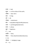शय्या =  $bed$ ;

- भूतल = on the surface of the earth;
- मस्जन = deer skin?;
- वासः = living;

सर्व = all;

- र्ररग्रह = attachment;
- भोग = enjoyable things/worldly pleasures;
- $\overline{c}$ याग = sacrificing/abandonment;

कस्य = whose;

- सुखं = happiness;
- न = not;

करोति = does;

विरागः = Non-attachment/desirelessness;

॥ १८॥

योगरतः = indulging in yoga;

 $ar = or;$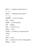भोगरतः = indulging in worldly pleasures;

 $ar = or$ 

सङ्गरतः = indulging in good company;

 $ar = or$ 

सङ्गविहीनः = bereft of company;

यस्य = whose;

ब्रह्मणि = in Brahman(God);

रमते = delights;

धचत्तं = mind (here soul);

नन्दतत = revels;

नन्दत्येव = nandati+eva, revels alone/revels

indeed;

॥ १९॥

 $44 = \text{gcd's};$ 

गीता = song (here the scripture `bhagavatgItA');

ककस्ञ्चत् = a little;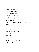- $3$ धीता = studied;
- गङ्गथ = river Ganga;
- जलल = water drop;
- कणणकथर्ीतथ = a little droplet, drunk;
- सकृदपि = once even;
- येन = by whom;
- म्*रारि = the enemy of `MurA' (Lord Krishna)*;
- समर्चा = well worshipped;
- करयते = is done;
- तस्य = his;
- यमेन = by Yama, the lord of Death;
- न = not;
- चर्चा = discussion;
- ॥ २०॥
- र्ुनरवर् = punaH+api, again again;
- जननं = birth;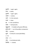प्**नरपि** = again again;

मरणं = death;

पुनरपि = again again;

जननी = mother;

जठरे = in the stomach;

शयनं = sleep;

इह = in this world/here;

संसारे = family/world;

बह्द्स्तारे = fordable with great difficulty;

कृर्यथऽर्थरे = out of boundless compassion;

पाहि = protect;

मुरथरे = Oh MurA's enemy!(KriShNa);

॥ २१॥

 $72q = ?;$ 

चर्पट = torn/tattered cloth;

विरचित = created;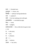कन्र्ः = throated man;

पुण्यापुण्य = virtues sins;

विवर्जित = without/ having abandoned;

र्न्र्ः = wayfarer?;

योगी = the man seeking union with god;

योगनियोजित = controlled by yoga;

चित्तः = mind;

रमते = delights;

बालोन्मत्तवदेव = like a child who has gone mad;

॥ २२॥

- कः = who (are);
- $\overline{c}$  $\overline{d}$  = you;
- कः = who(am);
- $3\vec{r} = I;$
- कुतः = whence;
- $3\overline{1}$ यातः = has come;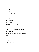का $=$  who; मे = my; जननी = mother; कः = who; मे = my;  $\overline{d}$  $\overline{d}$ : = father; इतत = thus; परिभावय = deem well/visualise; सर्व = the entire;

- असारं = worthless/without essence;
- विश्वं = world;
- $\overline{c}$   $\overline{c}$  are  $\overline{c}$  = having abandoned/sacrificed;
- स्वप्न = dream;
- विचारं = consideration/thinking;
- ॥ २३॥
- $\overline{c}$  and  $\overline{a}$  = in yourself;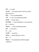मयि = in myself;

चथन्यत्रैक = cha+anyatra+ekaH, and+in any other place+only one;

व ष्णुः = the Lord MahAviShNu;

व्यर्प = in vain ; for nothing;purposeless;

कुप्यशस = you get angry;

मय्यसहहष्णु = mayi+asahiShNuH, in me+intolerant;

 $\overline{a}$  = become:

समधचत्तः = equal-minded/equanimity;

सर्वत्र = everywhere;

 $\overline{c}\overline{d}$  = you;

वाञ्छसि = you desire;

अचिराद = without delay/in no time;

यदि = if:

विष्णृत्वं = the quality/state of Brahman/godrealisation;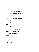॥ २४॥ शत्रौ = in (towards)the enemy; शमत्रे = in (towards) the friend; र्ुत्रे = in(towards) the son; बन्धौ = in (towards) relatives; मा =  $don't;$ कुरु = do; यत्नं =  $effort;$ व ग्रहसन्धौ = for war(dissension) or peace-making; सर्वस्मिन्नपि = in all beings; पश्यात्मानं = see your own self; सर्वत्र = everywhere; उत्सृज $=$  give up; भेदाज्ञानं = difference/otherness/duality; ॥ २५॥ कामं = desire;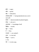रोधं = anger;

लोभं =  $\beta$ reed;

मोहं = infatuation;

```
\overline{c}यक्\overline{c} and \overline{c} = having abandoned see as one's
own self;
```
 $\overline{a}$  = deem/consider/visualise/imagine:

को $s\dot{\bar{s}}$  = who am I;

 $3\pi$  $\bar{c}$   $\bar{c}$   $\bar{c}$   $\bar{c}$   $\bar{c}$   $\bar{c}$   $\bar{c}$   $\bar{c}$   $\bar{c}$   $\bar{c}$   $\bar{c}$   $\bar{c}$   $\bar{c}$   $\bar{c}$   $\bar{c}$   $\bar{c}$   $\bar{c}$   $\bar{c}$   $\bar{c}$   $\bar{c}$   $\bar{c}$   $\bar{c}$   $\bar{c}$   $\bar{c}$   $\bar{c}$   $\bar{c}$   $\bar{c}$ 

विहीना = bereft;

```
मृढा = fools;
```
ते = they;

र्च्यन्ते = are cooked?;

नरक = in the hell;

```
निगूढा = cast in;
```
॥ २६॥

गेयं = is to be sung;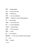- गीता = bhagavatgItA;
- नाम = name of the lord;
- सहस्रं = 1000 times;
- ध्येयं = is to be meditated;
- रीर्तत = LakShmi's consort MahAviShNu's;
- रूपं = form/image;
- अजसं $=$  the unborn one:
- नेयं = is to be lead/taken;
- सज्जन = good people;
- सङ्गे = in the company;
- चित्तं =  $min$ ;
- देयं = is to be given;
- दीनजनथय = to the poor (humble state) people;
- च = and;
- $\overline{a}$  $\overline{c}$  $\overline{d}$  = wealth;

॥ २७॥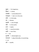सुखतः = for happiness;

करयते = is done;

रामाभोग = sexual pleasures?;

पश्चाद्धन्त = later on in the end:

शरीरे = in the body;

रोग = disease;

यद्यपि = even though;

लोके = in the world;

मरण = death;

शरणं = resort/surrender;

तदपि = even then;

न = not;

मुञ्चतत = releases/gives up;

र्थर्थचरणं = pApa+AcharaNa, sin-practising;

॥ २८॥

अर्ी = wealth;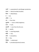- अनर्ी = purposeless/in vain/danger-productive;
- भावय = deem/consider/visualise;
- नित्यं = daily/always;
- न = not;
- अस्स्त = is;
- ततः = from that;
- सुखलेशः = (even a little) happiness;
- सत्यं = Truth;
- प्**त्रादपि** = even from the the son;
- धन = wealth;
- $\overline{\text{4}}$  = acquiring people;
- भीतिः = fear;
- सर्वत्र = everywhere;
- एषा = this:
- विहिता = understood:
- रीततः = procedure/practice/custom;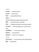```
॥ २९॥
```
प्राणायाम =  $break$ -control;

प्रत्याहार = diet-control;

तनत्यं = always/daily/certain;

अतनत्य =

uncertain/temporary/ephemeral/transient;

विवेक = awareness after reasoning;

व चथर = thought/considered conclusion/opinion;

जाप्यसमेत = with chanting of the names of the

lord;

समाधिविधान  $=$  in the state of trance:

कुर्ववधानं = pay attention;

महदवधानं = great care attention;

॥ ३०॥

गुरुचरणथम्प्बुज = the lotus feet of the teacher/guru;

```
तनभपर = dependent;
```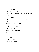भक्तः = devotee;

संसारात् = from the world;

अचिराद्भव = in no time from the cycle of birth and death;

मुक्तः = released;

सेन्द्रियमानस = sa+indriva+mAnasa, with senses

and mind;

तनयमथदे = control alone(niyamAt eva);

द्रक्ष्यसि = you will see;

तनज = one's own;

हृदयस्र्ं = heart-stationed;

 $\dot{a} = God;$ 

॥ ३१॥

```
मूढ = fool;
```
कश्चन = certain;

ैयथकरण = Grammar;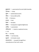- डुकृङ्करण = grammatical formula DukRi.nkaraNa;
- $3$ ध्ययन = study;
- धुररण = awakened/aroused?;
- रीमत् = honourable prefix;
- शंकर = Shankara;
- $44$ गवत् = God;
- शशष्यैः = disciples;
- बोधधत = having been taught/enlightened;
- आशसत् = was/existed;
- चोधधतकरण = tested or awakened senses;
- ॥ ३२॥
- भज = worship;
- गोविन्दं =  $I$ ord Govinda;
- मूढमते = Oh foolish mind!;

नामस्मरणात = (except) through/from

remembrance of the Lord's name;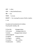अन्य = other; उपाय = plan/method/means; नहह = not; पश्याम =  $we$  see; भवतरणे = for crossing the ocean of births deaths; ॥ ३३॥

Encoded and translated by M. Giridhar. Proofread M. Giridhar, NA

| % Text title  | : bhajagovindam        |
|---------------|------------------------|
| % File name   | : bhajagovindam.itx    |
| % itxtitle    | : bhajagovindam athavA |
| mohamudgaraH  |                        |
| % engtitle    | : bhaja govindam       |
| % Category    | : vedanta              |
| % Location    | : doc vishhnu          |
| % Sublocation | : vishhnu              |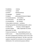- % SubDeity : krishna
- % Texttype : stotra
- % Author : Shankaracharya
- % Language : Sanskrit
- % Subject : philosophy/hinduism/religion
- % Transliterated by : M. Giridhar
- % Proofread by : M. Giridhar, NA
- % Translated by : M. Giridhar
- % Description-comments : combines
- charpaTapanjarikA and dvAdashapanjarikA, advice
- % Indexextra : Versions, mohamudgaraH
- % Latest update : 1995, September 28, 2014,
- NOvember 22, 2016
- % Send corrections to : Sanskrit@cheerful.com % Site access : http://sanskritdocuments.org This text is prepared by volunteers and is to be used for personal study and research. The file is not to be copied or reposted for promotion of any website or individuals or for commercial purpose without